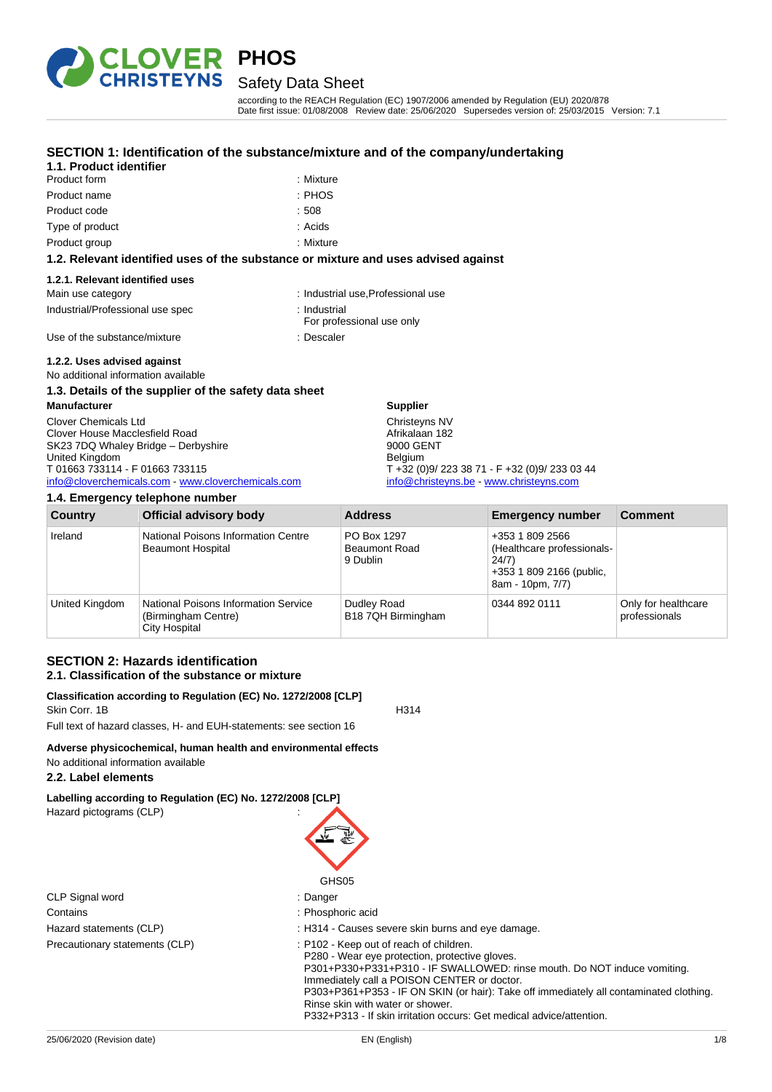

# Safety Data Sheet

according to the REACH Regulation (EC) 1907/2006 amended by Regulation (EU) 2020/878 Date first issue: 01/08/2008 Review date: 25/06/2020 Supersedes version of: 25/03/2015 Version: 7.1

### **SECTION 1: Identification of the substance/mixture and of the company/undertaking**

| 1.1. Product identifier |           |
|-------------------------|-----------|
| Product form            | : Mixture |
| Product name            | : PHOS    |
| Product code            | :508      |
| Type of product         | : Acids   |
| Product group           | : Mixture |

#### **1.2. Relevant identified uses of the substance or mixture and uses advised against**

#### **1.2.1. Relevant identified uses**

| Main use category                | : Industrial use, Professional use |
|----------------------------------|------------------------------------|
| Industrial/Professional use spec | : Industrial                       |

- - For professional use only
- Use of the substance/mixture in the substance of the substance of the substance of the substance of the substance of the substance of the substance of the substance of the substance of the substance of the substance of the

# **1.2.2. Uses advised against**

No additional information available

### **1.3. Details of the supplier of the safety data sheet**

**Manufacturer** Clover Chemicals Ltd Clover House Macclesfield Road SK23 7DQ Whaley Bridge – Derbyshire United Kingdom T 01663 733114 - F 01663 733115 [info@cloverchemicals.com](mailto:info@cloverchemicals.com) - [www.cloverchemicals.com](http://www.cloverchemicals.com/)

#### **1.4. Emergency telephone number**

Afrikalaan 182 9000 GENT Belgium T +32 (0)9/ 223 38 71 - F +32 (0)9/ 233 03 44 [info@christeyns.be](mailto:info@christeyns.be) - [www.christeyns.com](http://www.christeyns.com/)

| <b>Country</b> | <b>Official advisory body</b>                                                       | <b>Address</b>                                  | <b>Emergency number</b>                                                                                | <b>Comment</b>                       |
|----------------|-------------------------------------------------------------------------------------|-------------------------------------------------|--------------------------------------------------------------------------------------------------------|--------------------------------------|
| Ireland        | National Poisons Information Centre<br><b>Beaumont Hospital</b>                     | PO Box 1297<br><b>Beaumont Road</b><br>9 Dublin | +353 1 809 2566<br>(Healthcare professionals-<br>24/7)<br>+353 1 809 2166 (public,<br>8am - 10pm, 7/7) |                                      |
| United Kingdom | <b>National Poisons Information Service</b><br>(Birmingham Centre)<br>City Hospital | Dudley Road<br>B18 7QH Birmingham               | 0344 892 0111                                                                                          | Only for healthcare<br>professionals |

**Supplier** Christeyns NV

## **SECTION 2: Hazards identification 2.1. Classification of the substance or mixture**

#### **Classification according to Regulation (EC) No. 1272/2008 [CLP]** Skin Corr. 1B H314

Full text of hazard classes, H- and EUH-statements: see section 16

#### **Adverse physicochemical, human health and environmental effects** No additional information available

# **2.2. Label elements**

**Labelling according to Regulation (EC) No. 1272/2008 [CLP]**

Hazard pictograms (CLP) :

| GHS05                          |                                                                                                                                                                                                                                                                                                                                                    |  |  |
|--------------------------------|----------------------------------------------------------------------------------------------------------------------------------------------------------------------------------------------------------------------------------------------------------------------------------------------------------------------------------------------------|--|--|
| CLP Signal word                | : Danger                                                                                                                                                                                                                                                                                                                                           |  |  |
| Contains                       | : Phosphoric acid                                                                                                                                                                                                                                                                                                                                  |  |  |
| Hazard statements (CLP)        | : H314 - Causes severe skin burns and eye damage.                                                                                                                                                                                                                                                                                                  |  |  |
| Precautionary statements (CLP) | : P102 - Keep out of reach of children.<br>P280 - Wear eye protection, protective gloves.<br>P301+P330+P331+P310 - IF SWALLOWED: rinse mouth. Do NOT induce vomiting.<br>Immediately call a POISON CENTER or doctor.<br>P303+P361+P353 - IF ON SKIN (or hair): Take off immediately all contaminated clothing.<br>Rinse skin with water or shower. |  |  |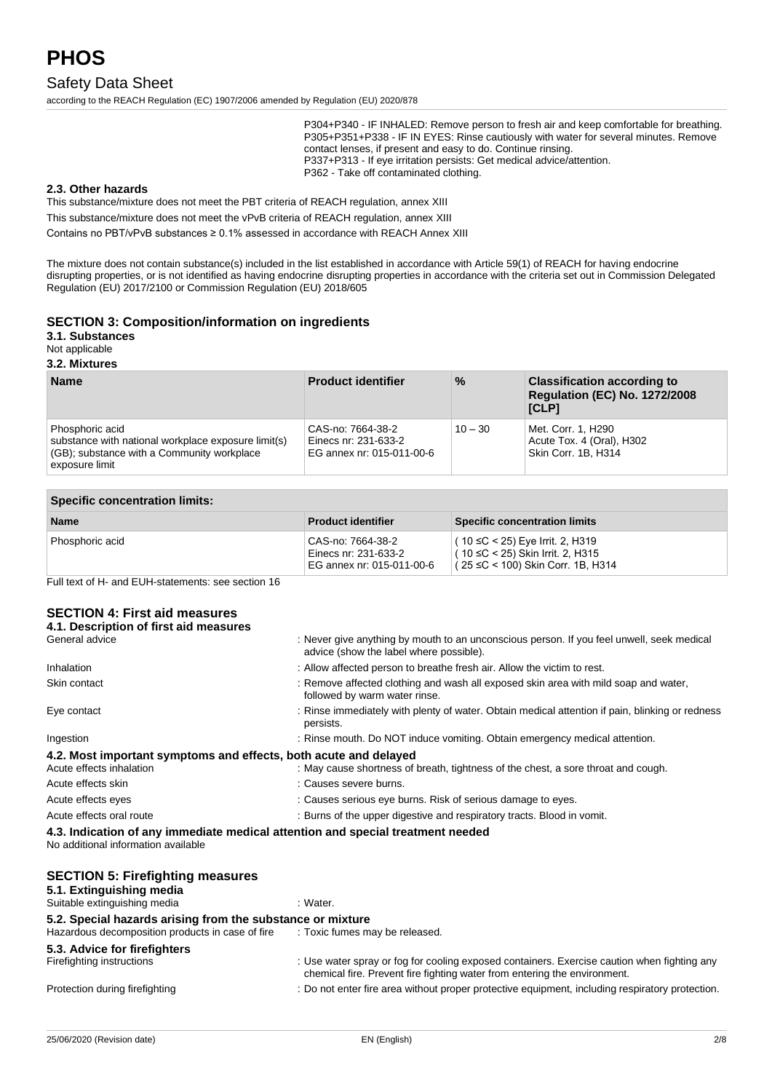# Safety Data Sheet

according to the REACH Regulation (EC) 1907/2006 amended by Regulation (EU) 2020/878

P304+P340 - IF INHALED: Remove person to fresh air and keep comfortable for breathing. P305+P351+P338 - IF IN EYES: Rinse cautiously with water for several minutes. Remove contact lenses, if present and easy to do. Continue rinsing. P337+P313 - If eye irritation persists: Get medical advice/attention. P362 - Take off contaminated clothing.

#### **2.3. Other hazards**

This substance/mixture does not meet the PBT criteria of REACH regulation, annex XIII

This substance/mixture does not meet the vPvB criteria of REACH regulation, annex XIII

Contains no PBT/vPvB substances ≥ 0.1% assessed in accordance with REACH Annex XIII

The mixture does not contain substance(s) included in the list established in accordance with Article 59(1) of REACH for having endocrine disrupting properties, or is not identified as having endocrine disrupting properties in accordance with the criteria set out in Commission Delegated Regulation (EU) 2017/2100 or Commission Regulation (EU) 2018/605

#### **SECTION 3: Composition/information on ingredients**

**3.1. Substances**

Not applicable

#### **3.2. Mixtures**

| <b>Name</b>                                                                                                                            | <b>Product identifier</b>                                              | $\%$      | <b>Classification according to</b><br><b>Regulation (EC) No. 1272/2008</b><br>[CLP] |
|----------------------------------------------------------------------------------------------------------------------------------------|------------------------------------------------------------------------|-----------|-------------------------------------------------------------------------------------|
| Phosphoric acid<br>substance with national workplace exposure limit(s)<br>(GB); substance with a Community workplace<br>exposure limit | CAS-no: 7664-38-2<br>Einecs nr: 231-633-2<br>EG annex nr: 015-011-00-6 | $10 - 30$ | Met. Corr. 1, H290<br>Acute Tox. 4 (Oral), H302<br>Skin Corr. 1B, H314              |

| <b>Specific concentration limits:</b> |                                                                        |                                                                                                            |  |
|---------------------------------------|------------------------------------------------------------------------|------------------------------------------------------------------------------------------------------------|--|
| <b>Name</b>                           | <b>Product identifier</b>                                              | <b>Specific concentration limits</b>                                                                       |  |
| Phosphoric acid                       | CAS-no: 7664-38-2<br>Einecs nr: 231-633-2<br>EG annex nr: 015-011-00-6 | ( 10 ≤C < 25) Eye Irrit. 2, H319<br>( 10 ≤C < 25) Skin Irrit, 2, H315<br>(25 ≤C < 100) Skin Corr. 1B. H314 |  |

Full text of H- and EUH-statements: see section 16

### **SECTION 4: First aid measures**

| 4.1. Description of first aid measures                                                                                 |                                                                                                                                      |
|------------------------------------------------------------------------------------------------------------------------|--------------------------------------------------------------------------------------------------------------------------------------|
| General advice                                                                                                         | : Never give anything by mouth to an unconscious person. If you feel unwell, seek medical<br>advice (show the label where possible). |
| Inhalation                                                                                                             | : Allow affected person to breathe fresh air. Allow the victim to rest.                                                              |
| Skin contact                                                                                                           | : Remove affected clothing and wash all exposed skin area with mild soap and water,<br>followed by warm water rinse.                 |
| Eye contact                                                                                                            | : Rinse immediately with plenty of water. Obtain medical attention if pain, blinking or redness<br>persists.                         |
| Ingestion                                                                                                              | : Rinse mouth. Do NOT induce vomiting. Obtain emergency medical attention.                                                           |
| 4.2. Most important symptoms and effects, both acute and delayed                                                       |                                                                                                                                      |
| Acute effects inhalation                                                                                               | : May cause shortness of breath, tightness of the chest, a sore throat and cough.                                                    |
| Acute effects skin                                                                                                     | : Causes severe burns.                                                                                                               |
| Acute effects eyes                                                                                                     | : Causes serious eye burns. Risk of serious damage to eyes.                                                                          |
| Acute effects oral route                                                                                               | : Burns of the upper digestive and respiratory tracts. Blood in vomit.                                                               |
| 4.3. Indication of any immediate medical attention and special treatment needed<br>No additional information available |                                                                                                                                      |

#### **SECTION 5: Firefighting measures**

#### **5.1. Extinguishing media**

Suitable extinguishing media : Water.

#### **5.2. Special hazards arising from the substance or mixture**

| Hazardous decomposition products in case of fire          | : Toxic fumes may be released.                                                                  |
|-----------------------------------------------------------|-------------------------------------------------------------------------------------------------|
| 5.3. Advice for firefighters<br>Firefighting instructions | : Use water spray or fog for cooling exposed containers. Exercise caution when fighting any     |
|                                                           | chemical fire. Prevent fire fighting water from entering the environment.                       |
| Protection during firefighting                            | : Do not enter fire area without proper protective equipment, including respiratory protection. |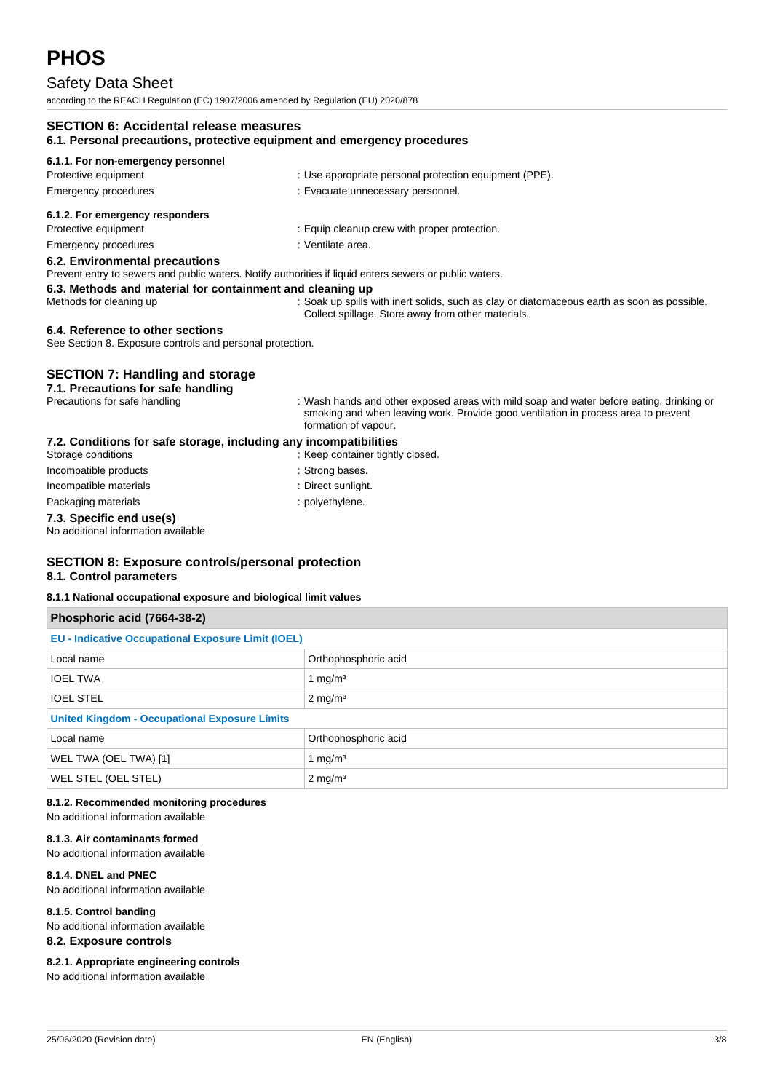# Safety Data Sheet

according to the REACH Regulation (EC) 1907/2006 amended by Regulation (EU) 2020/878

## **SECTION 6: Accidental release measures 6.1. Personal precautions, protective equipment and emergency procedures 6.1.1. For non-emergency personnel** Protective equipment **interval and the COV** in Use appropriate personal protection equipment (PPE). Emergency procedures : Evacuate unnecessary personnel. **6.1.2. For emergency responders** Protective equipment **in the case of the CEC** contract in the Equip cleanup crew with proper protection. Emergency procedures in the state of the state of the Senate Senate area. **6.2. Environmental precautions** Prevent entry to sewers and public waters. Notify authorities if liquid enters sewers or public waters. **6.3. Methods and material for containment and cleaning up** Methods for cleaning up : Soak up spills with inert solids, such as clay or diatomaceous earth as soon as possible. Collect spillage. Store away from other materials. **6.4. Reference to other sections** See Section 8. Exposure controls and personal protection.

# **SECTION 7: Handling and storage**

**7.1. Precautions for safe handling**

Precautions for safe handling : Wash hands and other exposed areas with mild soap and water before eating, drinking or smoking and when leaving work. Provide good ventilation in process area to prevent formation of vapour.

#### **7.2. Conditions for safe storage, including any incompatibilities**

| 7.3. Specific end use(s) |                                  |
|--------------------------|----------------------------------|
| Packaging materials      | : polyethylene.                  |
| Incompatible materials   | : Direct sunlight.               |
| Incompatible products    | : Strong bases.                  |
| Storage conditions       | : Keep container tightly closed. |

No additional information available

#### **SECTION 8: Exposure controls/personal protection 8.1. Control parameters**

#### **8.1.1 National occupational exposure and biological limit values**

| Phosphoric acid (7664-38-2)                               |                      |  |
|-----------------------------------------------------------|----------------------|--|
| <b>EU - Indicative Occupational Exposure Limit (IOEL)</b> |                      |  |
| Local name                                                | Orthophosphoric acid |  |
| <b>IOEL TWA</b>                                           | 1 mg/m <sup>3</sup>  |  |
| <b>IOEL STEL</b>                                          | $2 \text{ mg/m}^3$   |  |
| <b>United Kingdom - Occupational Exposure Limits</b>      |                      |  |
| Local name                                                | Orthophosphoric acid |  |
| WEL TWA (OEL TWA) [1]                                     | 1 mg/m <sup>3</sup>  |  |
| WEL STEL (OEL STEL)                                       | $2 \text{ mg/m}^3$   |  |

#### **8.1.2. Recommended monitoring procedures** No additional information available

# **8.1.3. Air contaminants formed**

No additional information available

## **8.1.4. DNEL and PNEC**

No additional information available

#### **8.1.5. Control banding**

No additional information available

#### **8.2. Exposure controls**

#### **8.2.1. Appropriate engineering controls**

No additional information available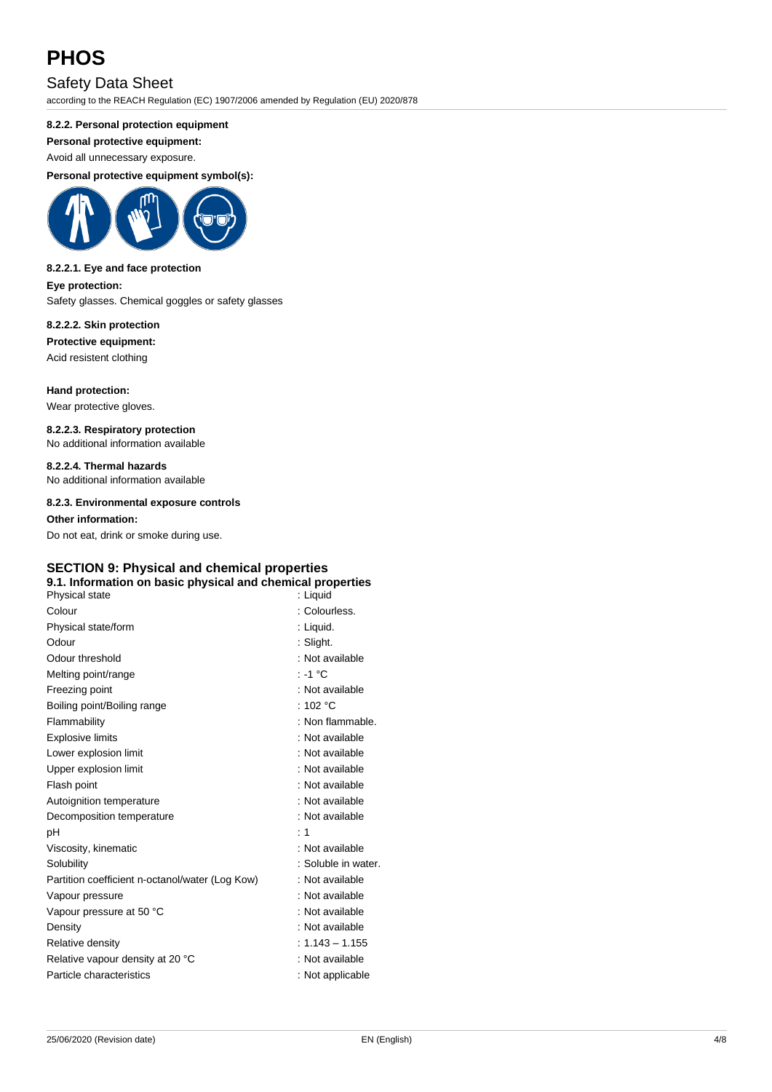# Safety Data Sheet

according to the REACH Regulation (EC) 1907/2006 amended by Regulation (EU) 2020/878

### **8.2.2. Personal protection equipment**

**Personal protective equipment:**

Avoid all unnecessary exposure.

**Personal protective equipment symbol(s):**



#### **8.2.2.1. Eye and face protection Eye protection:**

Safety glasses. Chemical goggles or safety glasses

# **8.2.2.2. Skin protection**

**Protective equipment:**

Acid resistent clothing

**Hand protection:** Wear protective gloves.

**8.2.2.3. Respiratory protection** No additional information available

**8.2.2.4. Thermal hazards** No additional information available

**8.2.3. Environmental exposure controls**

**Other information:** Do not eat, drink or smoke during use.

# **SECTION 9: Physical and chemical properties**

## **9.1. Information on basic physical and chemical properties**

| Physical state                                  | : Liquid            |
|-------------------------------------------------|---------------------|
| Colour                                          | : Colourless.       |
| Physical state/form                             | : Liquid.           |
| Odour                                           | : Slight.           |
| Odour threshold                                 | : Not available     |
| Melting point/range                             | : -1 °C             |
| Freezing point                                  | : Not available     |
| Boiling point/Boiling range                     | : 102 $^{\circ}$ C  |
| Flammability                                    | : Non flammable.    |
| <b>Explosive limits</b>                         | : Not available     |
| Lower explosion limit                           | : Not available     |
| Upper explosion limit                           | : Not available     |
| Flash point                                     | : Not available     |
| Autoignition temperature                        | : Not available     |
| Decomposition temperature                       | : Not available     |
| рH                                              | $\div$ 1            |
| Viscosity, kinematic                            | : Not available     |
| Solubility                                      | : Soluble in water. |
| Partition coefficient n-octanol/water (Log Kow) | : Not available     |
| Vapour pressure                                 | : Not available     |
| Vapour pressure at 50 °C                        | : Not available     |
| Density                                         | : Not available     |
| Relative density                                | $: 1.143 - 1.155$   |
| Relative vapour density at 20 °C                | : Not available     |
| Particle characteristics                        | : Not applicable    |
|                                                 |                     |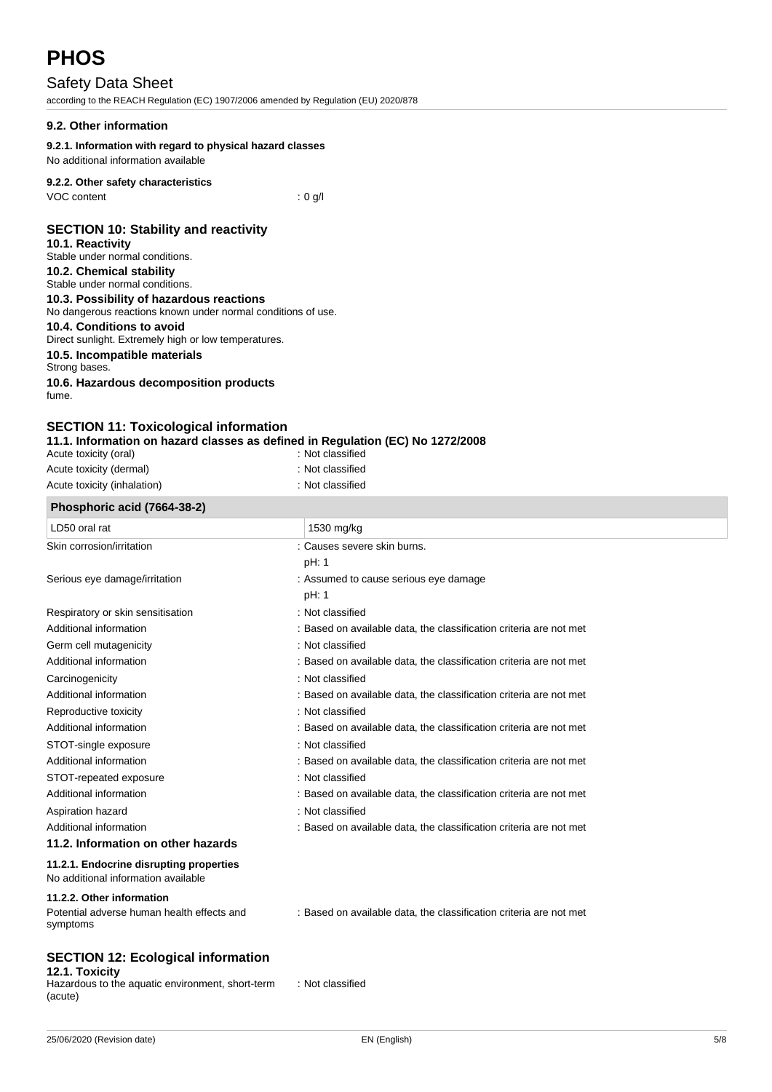# Safety Data Sheet

according to the REACH Regulation (EC) 1907/2006 amended by Regulation (EU) 2020/878

## **9.2. Other information**

## **9.2.1. Information with regard to physical hazard classes**

No additional information available

## **9.2.2. Other safety characteristics**

VOC content : 0 g/l

### **SECTION 10: Stability and reactivity**

#### **10.1. Reactivity**

- Stable under normal conditions. **10.2. Chemical stability** Stable under normal conditions.
- **10.3. Possibility of hazardous reactions** No dangerous reactions known under normal conditions of use. **10.4. Conditions to avoid** Direct sunlight. Extremely high or low temperatures.

#### **10.5. Incompatible materials**

Strong bases.

**10.6. Hazardous decomposition products** fume.

## **SECTION 11: Toxicological information**

**11.1. Information on hazard classes as defined in Regulation (EC) No 1272/2008**

| Phosphoric acid (7664-38-2) |                  |  |
|-----------------------------|------------------|--|
| Acute toxicity (inhalation) | : Not classified |  |
| Acute toxicity (dermal)     | : Not classified |  |
| Acute toxicity (oral)       | : Not classified |  |

| $\frac{1}{1}$ in $\frac{1}{2}$ is a count of $\frac{1}{2}$                     |                                                                    |
|--------------------------------------------------------------------------------|--------------------------------------------------------------------|
| LD50 oral rat                                                                  | 1530 mg/kg                                                         |
| Skin corrosion/irritation                                                      | : Causes severe skin burns.                                        |
|                                                                                | pH: 1                                                              |
| Serious eye damage/irritation                                                  | : Assumed to cause serious eye damage                              |
|                                                                                | pH: 1                                                              |
| Respiratory or skin sensitisation                                              | : Not classified                                                   |
| Additional information                                                         | : Based on available data, the classification criteria are not met |
| Germ cell mutagenicity                                                         | : Not classified                                                   |
| Additional information                                                         | : Based on available data, the classification criteria are not met |
| Carcinogenicity                                                                | : Not classified                                                   |
| Additional information                                                         | : Based on available data, the classification criteria are not met |
| Reproductive toxicity                                                          | : Not classified                                                   |
| Additional information                                                         | : Based on available data, the classification criteria are not met |
| STOT-single exposure                                                           | : Not classified                                                   |
| Additional information                                                         | : Based on available data, the classification criteria are not met |
| STOT-repeated exposure                                                         | : Not classified                                                   |
| Additional information                                                         | : Based on available data, the classification criteria are not met |
| Aspiration hazard                                                              | : Not classified                                                   |
| Additional information                                                         | : Based on available data, the classification criteria are not met |
| 11.2. Information on other hazards                                             |                                                                    |
| 11.2.1. Endocrine disrupting properties<br>No additional information available |                                                                    |
| 11.2.2. Other information                                                      |                                                                    |
| Potential adverse human health effects and<br>symptoms                         | : Based on available data, the classification criteria are not met |

#### **SECTION 12: Ecological information 12.1. Toxicity**

Hazardous to the aquatic environment, short-term (acute)

: Not classified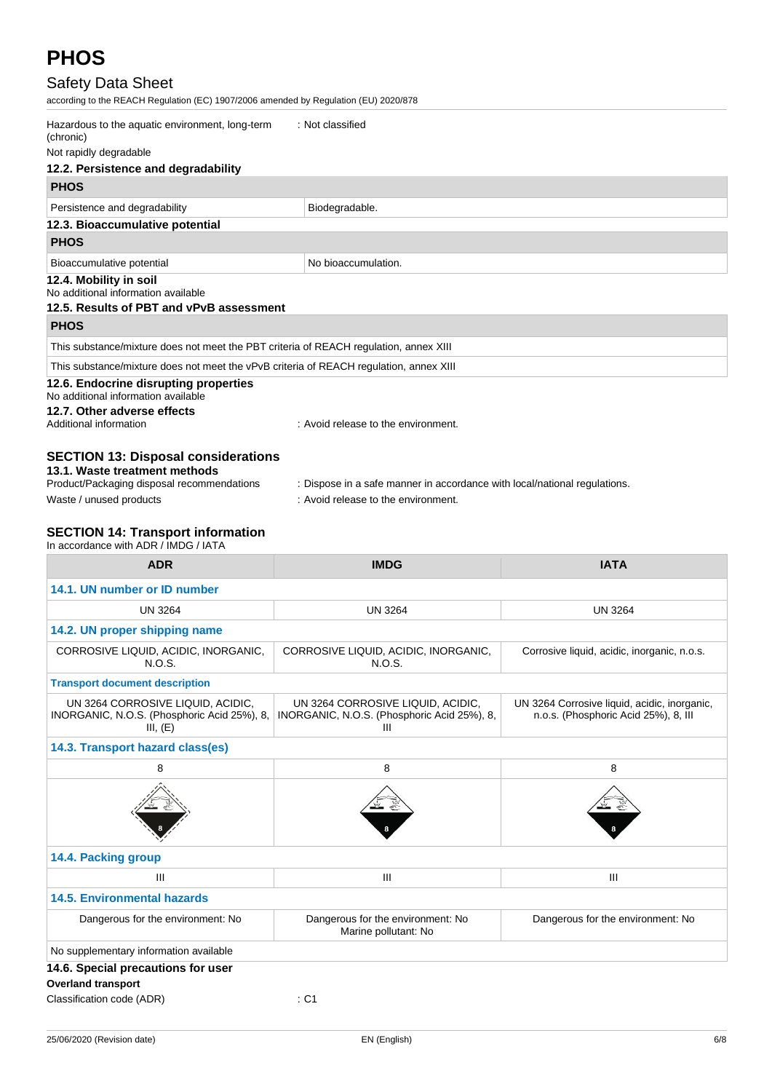# Safety Data Sheet

according to the REACH Regulation (EC) 1907/2006 amended by Regulation (EU) 2020/878

| Hazardous to the aquatic environment, long-term<br>(chronic)                           | : Not classified                    |
|----------------------------------------------------------------------------------------|-------------------------------------|
| Not rapidly degradable                                                                 |                                     |
| 12.2. Persistence and degradability                                                    |                                     |
| <b>PHOS</b>                                                                            |                                     |
| Persistence and degradability                                                          | Biodegradable.                      |
| 12.3. Bioaccumulative potential                                                        |                                     |
| <b>PHOS</b>                                                                            |                                     |
| Bioaccumulative potential                                                              | No bioaccumulation.                 |
| 12.4. Mobility in soil<br>No additional information available                          |                                     |
| 12.5. Results of PBT and vPvB assessment                                               |                                     |
| <b>PHOS</b>                                                                            |                                     |
| This substance/mixture does not meet the PBT criteria of REACH regulation, annex XIII  |                                     |
| This substance/mixture does not meet the vPvB criteria of REACH regulation, annex XIII |                                     |
| 12.6. Endocrine disrupting properties<br>No additional information available           |                                     |
| 12.7. Other adverse effects<br>Additional information                                  | : Avoid release to the environment. |
| <b>CECTION 42: Disposal considerations</b>                                             |                                     |

#### **SECTION 13: Disposal considerations 13.1. Waste treatment methods**

| Product/Packaging disposal recommendations | : Dispose in a safe manner in accordance with local/national regulations. |
|--------------------------------------------|---------------------------------------------------------------------------|
| Waste / unused products                    | : Avoid release to the environment.                                       |

# **SECTION 14: Transport information**

In accordance with ADR / IMDG / IATA

| <b>ADR</b>                                                                                   | <b>IMDG</b>                                                                           | <b>IATA</b>                                                                          |
|----------------------------------------------------------------------------------------------|---------------------------------------------------------------------------------------|--------------------------------------------------------------------------------------|
| 14.1. UN number or ID number                                                                 |                                                                                       |                                                                                      |
| <b>UN 3264</b>                                                                               | <b>UN 3264</b>                                                                        | <b>UN 3264</b>                                                                       |
| 14.2. UN proper shipping name                                                                |                                                                                       |                                                                                      |
| CORROSIVE LIQUID, ACIDIC, INORGANIC,<br>N.O.S.                                               | CORROSIVE LIQUID, ACIDIC, INORGANIC,<br>N.O.S.                                        | Corrosive liquid, acidic, inorganic, n.o.s.                                          |
| <b>Transport document description</b>                                                        |                                                                                       |                                                                                      |
| UN 3264 CORROSIVE LIQUID, ACIDIC,<br>INORGANIC, N.O.S. (Phosphoric Acid 25%), 8,<br>III, (E) | UN 3264 CORROSIVE LIQUID, ACIDIC,<br>INORGANIC, N.O.S. (Phosphoric Acid 25%), 8,<br>Ш | UN 3264 Corrosive liquid, acidic, inorganic,<br>n.o.s. (Phosphoric Acid 25%), 8, III |
| 14.3. Transport hazard class(es)                                                             |                                                                                       |                                                                                      |
| 8                                                                                            | 8                                                                                     | 8                                                                                    |
|                                                                                              |                                                                                       |                                                                                      |
| 14.4. Packing group                                                                          |                                                                                       |                                                                                      |
| Ш                                                                                            | III                                                                                   | III                                                                                  |
| <b>14.5. Environmental hazards</b>                                                           |                                                                                       |                                                                                      |
| Dangerous for the environment: No                                                            | Dangerous for the environment: No<br>Marine pollutant: No                             | Dangerous for the environment: No                                                    |
| No supplementary information available                                                       |                                                                                       |                                                                                      |
| 14.6. Special precautions for user                                                           |                                                                                       |                                                                                      |
| <b>Overland transport</b><br>Classification code (ADR)                                       | $:$ C1                                                                                |                                                                                      |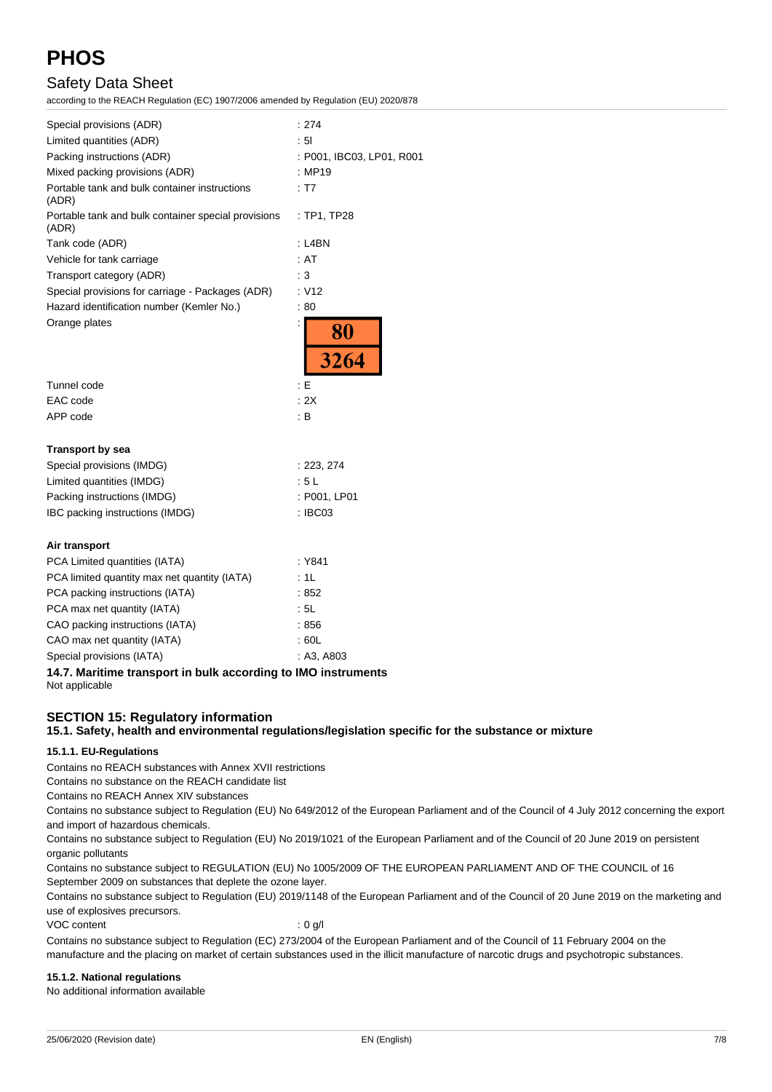# Safety Data Sheet

according to the REACH Regulation (EC) 1907/2006 amended by Regulation (EU) 2020/878

| Special provisions (ADR)                                     | : 274                     |
|--------------------------------------------------------------|---------------------------|
| Limited quantities (ADR)                                     | : 51                      |
| Packing instructions (ADR)                                   | : P001, IBC03, LP01, R001 |
| Mixed packing provisions (ADR)                               | : MP19                    |
| Portable tank and bulk container instructions<br>(ADR)       | : T7                      |
| Portable tank and bulk container special provisions<br>(ADR) | : TP1, TP28               |
| Tank code (ADR)                                              | : L4BN                    |
| Vehicle for tank carriage                                    | : AT                      |
| Transport category (ADR)                                     | : 3                       |
| Special provisions for carriage - Packages (ADR)             | : V12                     |
| Hazard identification number (Kemler No.)                    | :80                       |
| Orange plates                                                | $\frac{80}{3264}$         |
| Tunnel code                                                  | : E                       |
| EAC code                                                     | : 2X                      |
| APP code                                                     | : B                       |
| <b>Transport by sea</b>                                      |                           |
| Special provisions (IMDG)                                    | : 223, 274                |
| Limited quantities (IMDG)                                    | : 5 L                     |
| Packing instructions (IMDG)                                  | : P001, LP01              |
| IBC packing instructions (IMDG)                              | : IBC03                   |
| Air transport                                                |                           |
| PCA Limited quantities (IATA)                                | : Y841                    |
| PCA limited quantity max net quantity (IATA)                 | : 1L                      |
| PCA packing instructions (IATA)                              | :852                      |
| PCA max net quantity (IATA)                                  | : 5L                      |
| CAO packing instructions (IATA)                              | :856                      |
| CAO max net quantity (IATA)                                  | : 60L                     |
| Special provisions (IATA)                                    | : A3, A803                |

**14.7. Maritime transport in bulk according to IMO instruments** Not applicable

# **SECTION 15: Regulatory information**

#### **15.1. Safety, health and environmental regulations/legislation specific for the substance or mixture**

#### **15.1.1. EU-Regulations**

Contains no REACH substances with Annex XVII restrictions

Contains no substance on the REACH candidate list

Contains no REACH Annex XIV substances

Contains no substance subject to Regulation (EU) No 649/2012 of the European Parliament and of the Council of 4 July 2012 concerning the export and import of hazardous chemicals.

Contains no substance subject to Regulation (EU) No 2019/1021 of the European Parliament and of the Council of 20 June 2019 on persistent organic pollutants

Contains no substance subject to REGULATION (EU) No 1005/2009 OF THE EUROPEAN PARLIAMENT AND OF THE COUNCIL of 16 September 2009 on substances that deplete the ozone layer.

Contains no substance subject to Regulation (EU) 2019/1148 of the European Parliament and of the Council of 20 June 2019 on the marketing and use of explosives precursors.

VOC content : 0 g/l

Contains no substance subject to Regulation (EC) 273/2004 of the European Parliament and of the Council of 11 February 2004 on the manufacture and the placing on market of certain substances used in the illicit manufacture of narcotic drugs and psychotropic substances.

#### **15.1.2. National regulations**

No additional information available